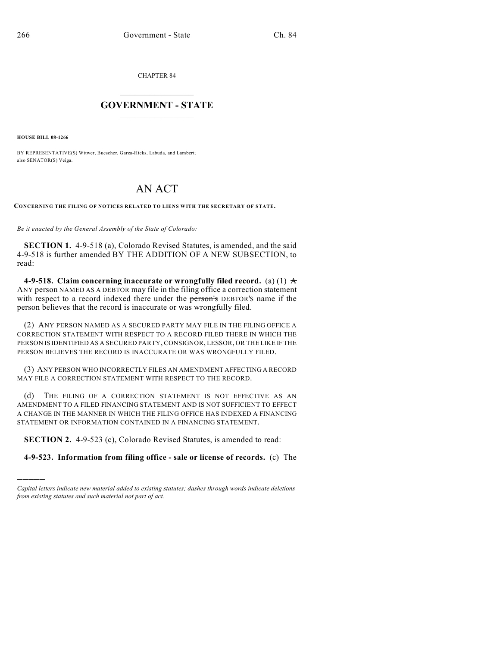CHAPTER 84

## $\mathcal{L}_\text{max}$  . The set of the set of the set of the set of the set of the set of the set of the set of the set of the set of the set of the set of the set of the set of the set of the set of the set of the set of the set **GOVERNMENT - STATE**  $\_$   $\_$   $\_$   $\_$   $\_$   $\_$   $\_$   $\_$   $\_$

**HOUSE BILL 08-1266**

)))))

BY REPRESENTATIVE(S) Witwer, Buescher, Garza-Hicks, Labuda, and Lambert; also SENATOR(S) Veiga.

## AN ACT

**CONCERNING THE FILING OF NOTICES RELATED TO LIENS WITH THE SECRETARY OF STATE.**

*Be it enacted by the General Assembly of the State of Colorado:*

**SECTION 1.** 4-9-518 (a), Colorado Revised Statutes, is amended, and the said 4-9-518 is further amended BY THE ADDITION OF A NEW SUBSECTION, to read:

**4-9-518.** Claim concerning inaccurate or wrongfully filed record. (a) (1)  $\pm$ ANY person NAMED AS A DEBTOR may file in the filing office a correction statement with respect to a record indexed there under the person's DEBTOR'S name if the person believes that the record is inaccurate or was wrongfully filed.

(2) ANY PERSON NAMED AS A SECURED PARTY MAY FILE IN THE FILING OFFICE A CORRECTION STATEMENT WITH RESPECT TO A RECORD FILED THERE IN WHICH THE PERSON IS IDENTIFIED AS A SECURED PARTY, CONSIGNOR, LESSOR, OR THE LIKE IF THE PERSON BELIEVES THE RECORD IS INACCURATE OR WAS WRONGFULLY FILED.

(3) ANY PERSON WHO INCORRECTLY FILES AN AMENDMENT AFFECTING A RECORD MAY FILE A CORRECTION STATEMENT WITH RESPECT TO THE RECORD.

(d) THE FILING OF A CORRECTION STATEMENT IS NOT EFFECTIVE AS AN AMENDMENT TO A FILED FINANCING STATEMENT AND IS NOT SUFFICIENT TO EFFECT A CHANGE IN THE MANNER IN WHICH THE FILING OFFICE HAS INDEXED A FINANCING STATEMENT OR INFORMATION CONTAINED IN A FINANCING STATEMENT.

**SECTION 2.** 4-9-523 (c), Colorado Revised Statutes, is amended to read:

**4-9-523. Information from filing office - sale or license of records.** (c) The

*Capital letters indicate new material added to existing statutes; dashes through words indicate deletions from existing statutes and such material not part of act.*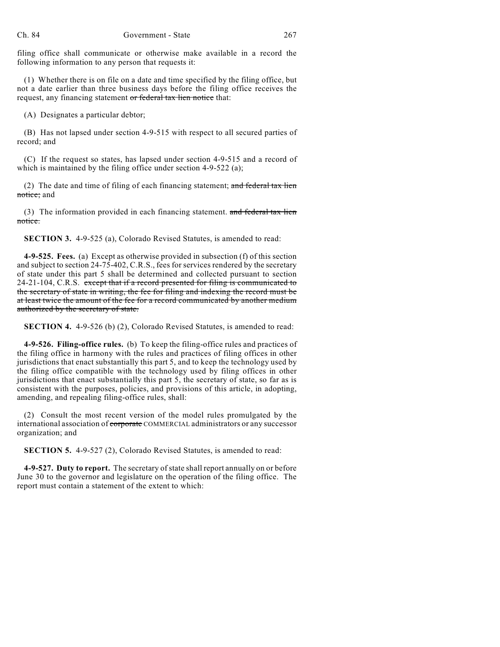filing office shall communicate or otherwise make available in a record the following information to any person that requests it:

(1) Whether there is on file on a date and time specified by the filing office, but not a date earlier than three business days before the filing office receives the request, any financing statement or federal tax lien notice that:

(A) Designates a particular debtor;

(B) Has not lapsed under section 4-9-515 with respect to all secured parties of record; and

(C) If the request so states, has lapsed under section 4-9-515 and a record of which is maintained by the filing office under section 4-9-522 (a);

(2) The date and time of filing of each financing statement; and federal tax lien notice; and

(3) The information provided in each financing statement. and federal tax lien notice.

**SECTION 3.** 4-9-525 (a), Colorado Revised Statutes, is amended to read:

**4-9-525. Fees.** (a) Except as otherwise provided in subsection (f) of this section and subject to section 24-75-402, C.R.S., fees for services rendered by the secretary of state under this part 5 shall be determined and collected pursuant to section 24-21-104, C.R.S. except that if a record presented for filing is communicated to the secretary of state in writing, the fee for filing and indexing the record must be at least twice the amount of the fee for a record communicated by another medium authorized by the secretary of state.

**SECTION 4.** 4-9-526 (b) (2), Colorado Revised Statutes, is amended to read:

**4-9-526. Filing-office rules.** (b) To keep the filing-office rules and practices of the filing office in harmony with the rules and practices of filing offices in other jurisdictions that enact substantially this part 5, and to keep the technology used by the filing office compatible with the technology used by filing offices in other jurisdictions that enact substantially this part 5, the secretary of state, so far as is consistent with the purposes, policies, and provisions of this article, in adopting, amending, and repealing filing-office rules, shall:

(2) Consult the most recent version of the model rules promulgated by the international association of corporate COMMERCIAL administrators or any successor organization; and

**SECTION 5.** 4-9-527 (2), Colorado Revised Statutes, is amended to read:

**4-9-527. Duty to report.** The secretary of state shall report annually on or before June 30 to the governor and legislature on the operation of the filing office. The report must contain a statement of the extent to which: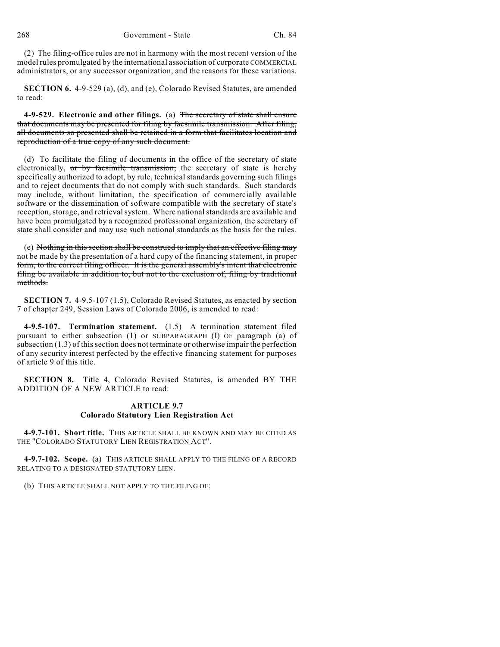(2) The filing-office rules are not in harmony with the most recent version of the model rules promulgated by the international association of **corporate** COMMERCIAL administrators, or any successor organization, and the reasons for these variations.

**SECTION 6.** 4-9-529 (a), (d), and (e), Colorado Revised Statutes, are amended to read:

**4-9-529. Electronic and other filings.** (a) The secretary of state shall ensure that documents may be presented for filing by facsimile transmission. After filing, all documents so presented shall be retained in a form that facilitates location and reproduction of a true copy of any such document.

(d) To facilitate the filing of documents in the office of the secretary of state electronically,  $\sigma r$  by facsimile transmission, the secretary of state is hereby specifically authorized to adopt, by rule, technical standards governing such filings and to reject documents that do not comply with such standards. Such standards may include, without limitation, the specification of commercially available software or the dissemination of software compatible with the secretary of state's reception, storage, and retrieval system. Where national standards are available and have been promulgated by a recognized professional organization, the secretary of state shall consider and may use such national standards as the basis for the rules.

(e) Nothing in this section shall be construed to imply that an effective filing may not be made by the presentation of a hard copy of the financing statement, in proper form, to the correct filing officer. It is the general assembly's intent that electronic filing be available in addition to, but not to the exclusion of, filing by traditional methods.

**SECTION 7.** 4-9.5-107 (1.5), Colorado Revised Statutes, as enacted by section 7 of chapter 249, Session Laws of Colorado 2006, is amended to read:

**4-9.5-107. Termination statement.** (1.5) A termination statement filed pursuant to either subsection (1) or SUBPARAGRAPH (I) OF paragraph (a) of subsection (1.3) of this section does not terminate or otherwise impair the perfection of any security interest perfected by the effective financing statement for purposes of article 9 of this title.

**SECTION 8.** Title 4, Colorado Revised Statutes, is amended BY THE ADDITION OF A NEW ARTICLE to read:

## **ARTICLE 9.7 Colorado Statutory Lien Registration Act**

**4-9.7-101. Short title.** THIS ARTICLE SHALL BE KNOWN AND MAY BE CITED AS THE "COLORADO STATUTORY LIEN REGISTRATION ACT".

**4-9.7-102. Scope.** (a) THIS ARTICLE SHALL APPLY TO THE FILING OF A RECORD RELATING TO A DESIGNATED STATUTORY LIEN.

(b) THIS ARTICLE SHALL NOT APPLY TO THE FILING OF: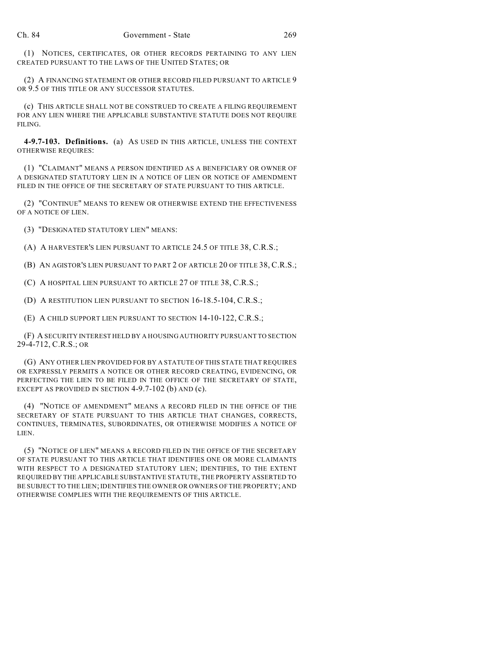(1) NOTICES, CERTIFICATES, OR OTHER RECORDS PERTAINING TO ANY LIEN CREATED PURSUANT TO THE LAWS OF THE UNITED STATES; OR

(2) A FINANCING STATEMENT OR OTHER RECORD FILED PURSUANT TO ARTICLE 9 OR 9.5 OF THIS TITLE OR ANY SUCCESSOR STATUTES.

(c) THIS ARTICLE SHALL NOT BE CONSTRUED TO CREATE A FILING REQUIREMENT FOR ANY LIEN WHERE THE APPLICABLE SUBSTANTIVE STATUTE DOES NOT REQUIRE FILING.

**4-9.7-103. Definitions.** (a) AS USED IN THIS ARTICLE, UNLESS THE CONTEXT OTHERWISE REQUIRES:

(1) "CLAIMANT" MEANS A PERSON IDENTIFIED AS A BENEFICIARY OR OWNER OF A DESIGNATED STATUTORY LIEN IN A NOTICE OF LIEN OR NOTICE OF AMENDMENT FILED IN THE OFFICE OF THE SECRETARY OF STATE PURSUANT TO THIS ARTICLE.

(2) "CONTINUE" MEANS TO RENEW OR OTHERWISE EXTEND THE EFFECTIVENESS OF A NOTICE OF LIEN.

(3) "DESIGNATED STATUTORY LIEN" MEANS:

(A) A HARVESTER'S LIEN PURSUANT TO ARTICLE 24.5 OF TITLE 38, C.R.S.;

(B) AN AGISTOR'S LIEN PURSUANT TO PART 2 OF ARTICLE 20 OF TITLE 38, C.R.S.;

(C) A HOSPITAL LIEN PURSUANT TO ARTICLE 27 OF TITLE 38, C.R.S.;

(D) A RESTITUTION LIEN PURSUANT TO SECTION 16-18.5-104, C.R.S.;

(E) A CHILD SUPPORT LIEN PURSUANT TO SECTION 14-10-122, C.R.S.;

(F) A SECURITY INTEREST HELD BY A HOUSING AUTHORITY PURSUANT TO SECTION 29-4-712, C.R.S.; OR

(G) ANY OTHER LIEN PROVIDED FOR BY A STATUTE OF THIS STATE THAT REQUIRES OR EXPRESSLY PERMITS A NOTICE OR OTHER RECORD CREATING, EVIDENCING, OR PERFECTING THE LIEN TO BE FILED IN THE OFFICE OF THE SECRETARY OF STATE, EXCEPT AS PROVIDED IN SECTION 4-9.7-102 (b) AND (c).

(4) "NOTICE OF AMENDMENT" MEANS A RECORD FILED IN THE OFFICE OF THE SECRETARY OF STATE PURSUANT TO THIS ARTICLE THAT CHANGES, CORRECTS, CONTINUES, TERMINATES, SUBORDINATES, OR OTHERWISE MODIFIES A NOTICE OF LIEN.

(5) "NOTICE OF LIEN" MEANS A RECORD FILED IN THE OFFICE OF THE SECRETARY OF STATE PURSUANT TO THIS ARTICLE THAT IDENTIFIES ONE OR MORE CLAIMANTS WITH RESPECT TO A DESIGNATED STATUTORY LIEN; IDENTIFIES, TO THE EXTENT REQUIRED BY THE APPLICABLE SUBSTANTIVE STATUTE, THE PROPERTY ASSERTED TO BE SUBJECT TO THE LIEN; IDENTIFIES THE OWNER OR OWNERS OF THE PROPERTY; AND OTHERWISE COMPLIES WITH THE REQUIREMENTS OF THIS ARTICLE.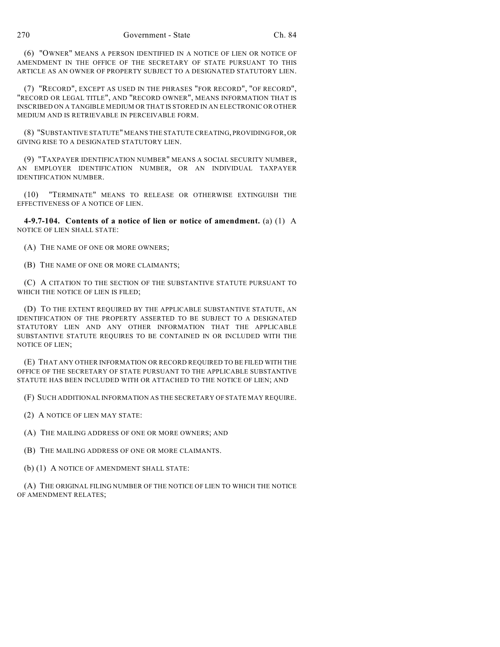(6) "OWNER" MEANS A PERSON IDENTIFIED IN A NOTICE OF LIEN OR NOTICE OF AMENDMENT IN THE OFFICE OF THE SECRETARY OF STATE PURSUANT TO THIS ARTICLE AS AN OWNER OF PROPERTY SUBJECT TO A DESIGNATED STATUTORY LIEN.

(7) "RECORD", EXCEPT AS USED IN THE PHRASES "FOR RECORD", "OF RECORD", "RECORD OR LEGAL TITLE", AND "RECORD OWNER", MEANS INFORMATION THAT IS INSCRIBED ON A TANGIBLE MEDIUM OR THAT IS STORED IN AN ELECTRONIC OR OTHER MEDIUM AND IS RETRIEVABLE IN PERCEIVABLE FORM.

(8) "SUBSTANTIVE STATUTE" MEANS THE STATUTE CREATING, PROVIDING FOR, OR GIVING RISE TO A DESIGNATED STATUTORY LIEN.

(9) "TAXPAYER IDENTIFICATION NUMBER" MEANS A SOCIAL SECURITY NUMBER, AN EMPLOYER IDENTIFICATION NUMBER, OR AN INDIVIDUAL TAXPAYER IDENTIFICATION NUMBER.

(10) "TERMINATE" MEANS TO RELEASE OR OTHERWISE EXTINGUISH THE EFFECTIVENESS OF A NOTICE OF LIEN.

**4-9.7-104. Contents of a notice of lien or notice of amendment.** (a) (1) A NOTICE OF LIEN SHALL STATE:

(A) THE NAME OF ONE OR MORE OWNERS;

(B) THE NAME OF ONE OR MORE CLAIMANTS;

(C) A CITATION TO THE SECTION OF THE SUBSTANTIVE STATUTE PURSUANT TO WHICH THE NOTICE OF LIEN IS FILED;

(D) TO THE EXTENT REQUIRED BY THE APPLICABLE SUBSTANTIVE STATUTE, AN IDENTIFICATION OF THE PROPERTY ASSERTED TO BE SUBJECT TO A DESIGNATED STATUTORY LIEN AND ANY OTHER INFORMATION THAT THE APPLICABLE SUBSTANTIVE STATUTE REQUIRES TO BE CONTAINED IN OR INCLUDED WITH THE NOTICE OF LIEN;

(E) THAT ANY OTHER INFORMATION OR RECORD REQUIRED TO BE FILED WITH THE OFFICE OF THE SECRETARY OF STATE PURSUANT TO THE APPLICABLE SUBSTANTIVE STATUTE HAS BEEN INCLUDED WITH OR ATTACHED TO THE NOTICE OF LIEN; AND

(F) SUCH ADDITIONAL INFORMATION AS THE SECRETARY OF STATE MAY REQUIRE.

(2) A NOTICE OF LIEN MAY STATE:

(A) THE MAILING ADDRESS OF ONE OR MORE OWNERS; AND

(B) THE MAILING ADDRESS OF ONE OR MORE CLAIMANTS.

(b) (1) A NOTICE OF AMENDMENT SHALL STATE:

(A) THE ORIGINAL FILING NUMBER OF THE NOTICE OF LIEN TO WHICH THE NOTICE OF AMENDMENT RELATES;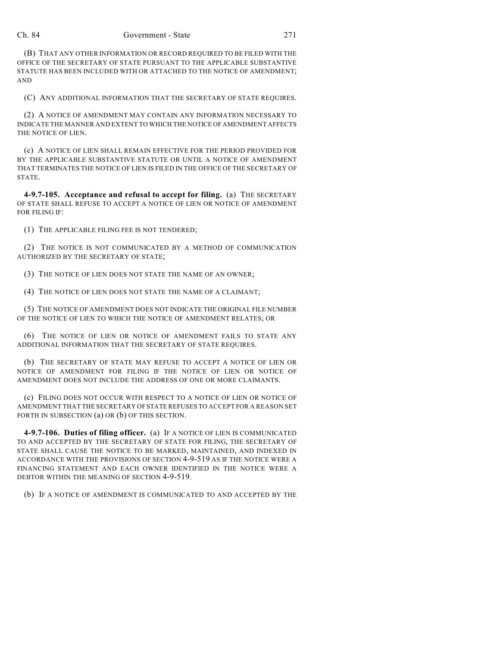(B) THAT ANY OTHER INFORMATION OR RECORD REQUIRED TO BE FILED WITH THE OFFICE OF THE SECRETARY OF STATE PURSUANT TO THE APPLICABLE SUBSTANTIVE STATUTE HAS BEEN INCLUDED WITH OR ATTACHED TO THE NOTICE OF AMENDMENT; AND

(C) ANY ADDITIONAL INFORMATION THAT THE SECRETARY OF STATE REQUIRES.

(2) A NOTICE OF AMENDMENT MAY CONTAIN ANY INFORMATION NECESSARY TO INDICATE THE MANNER AND EXTENT TO WHICH THE NOTICE OF AMENDMENT AFFECTS THE NOTICE OF LIEN.

(c) A NOTICE OF LIEN SHALL REMAIN EFFECTIVE FOR THE PERIOD PROVIDED FOR BY THE APPLICABLE SUBSTANTIVE STATUTE OR UNTIL A NOTICE OF AMENDMENT THAT TERMINATES THE NOTICE OF LIEN IS FILED IN THE OFFICE OF THE SECRETARY OF STATE.

**4-9.7-105. Acceptance and refusal to accept for filing.** (a) THE SECRETARY OF STATE SHALL REFUSE TO ACCEPT A NOTICE OF LIEN OR NOTICE OF AMENDMENT FOR FILING IF:

(1) THE APPLICABLE FILING FEE IS NOT TENDERED;

(2) THE NOTICE IS NOT COMMUNICATED BY A METHOD OF COMMUNICATION AUTHORIZED BY THE SECRETARY OF STATE;

(3) THE NOTICE OF LIEN DOES NOT STATE THE NAME OF AN OWNER;

(4) THE NOTICE OF LIEN DOES NOT STATE THE NAME OF A CLAIMANT;

(5) THE NOTICE OF AMENDMENT DOES NOT INDICATE THE ORIGINAL FILE NUMBER OF THE NOTICE OF LIEN TO WHICH THE NOTICE OF AMENDMENT RELATES; OR

(6) THE NOTICE OF LIEN OR NOTICE OF AMENDMENT FAILS TO STATE ANY ADDITIONAL INFORMATION THAT THE SECRETARY OF STATE REQUIRES.

(b) THE SECRETARY OF STATE MAY REFUSE TO ACCEPT A NOTICE OF LIEN OR NOTICE OF AMENDMENT FOR FILING IF THE NOTICE OF LIEN OR NOTICE OF AMENDMENT DOES NOT INCLUDE THE ADDRESS OF ONE OR MORE CLAIMANTS.

(c) FILING DOES NOT OCCUR WITH RESPECT TO A NOTICE OF LIEN OR NOTICE OF AMENDMENT THAT THE SECRETARY OF STATE REFUSES TO ACCEPT FOR A REASON SET FORTH IN SUBSECTION (a) OR (b) OF THIS SECTION.

**4-9.7-106. Duties of filing officer.** (a) IF A NOTICE OF LIEN IS COMMUNICATED TO AND ACCEPTED BY THE SECRETARY OF STATE FOR FILING, THE SECRETARY OF STATE SHALL CAUSE THE NOTICE TO BE MARKED, MAINTAINED, AND INDEXED IN ACCORDANCE WITH THE PROVISIONS OF SECTION 4-9-519 AS IF THE NOTICE WERE A FINANCING STATEMENT AND EACH OWNER IDENTIFIED IN THE NOTICE WERE A DEBTOR WITHIN THE MEANING OF SECTION 4-9-519.

(b) IF A NOTICE OF AMENDMENT IS COMMUNICATED TO AND ACCEPTED BY THE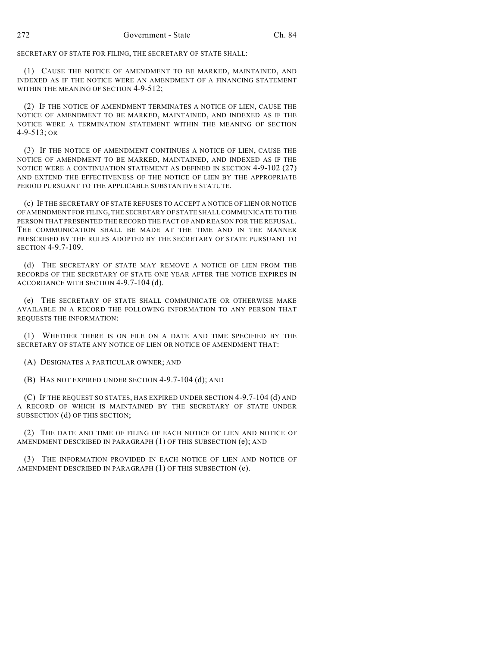SECRETARY OF STATE FOR FILING, THE SECRETARY OF STATE SHALL:

(1) CAUSE THE NOTICE OF AMENDMENT TO BE MARKED, MAINTAINED, AND INDEXED AS IF THE NOTICE WERE AN AMENDMENT OF A FINANCING STATEMENT WITHIN THE MEANING OF SECTION 4-9-512:

(2) IF THE NOTICE OF AMENDMENT TERMINATES A NOTICE OF LIEN, CAUSE THE NOTICE OF AMENDMENT TO BE MARKED, MAINTAINED, AND INDEXED AS IF THE NOTICE WERE A TERMINATION STATEMENT WITHIN THE MEANING OF SECTION 4-9-513; OR

(3) IF THE NOTICE OF AMENDMENT CONTINUES A NOTICE OF LIEN, CAUSE THE NOTICE OF AMENDMENT TO BE MARKED, MAINTAINED, AND INDEXED AS IF THE NOTICE WERE A CONTINUATION STATEMENT AS DEFINED IN SECTION 4-9-102 (27) AND EXTEND THE EFFECTIVENESS OF THE NOTICE OF LIEN BY THE APPROPRIATE PERIOD PURSUANT TO THE APPLICABLE SUBSTANTIVE STATUTE.

(c) IF THE SECRETARY OF STATE REFUSES TO ACCEPT A NOTICE OF LIEN OR NOTICE OF AMENDMENT FOR FILING, THE SECRETARY OF STATE SHALL COMMUNICATE TO THE PERSON THAT PRESENTED THE RECORD THE FACT OF AND REASON FOR THE REFUSAL. THE COMMUNICATION SHALL BE MADE AT THE TIME AND IN THE MANNER PRESCRIBED BY THE RULES ADOPTED BY THE SECRETARY OF STATE PURSUANT TO SECTION 4-9.7-109.

(d) THE SECRETARY OF STATE MAY REMOVE A NOTICE OF LIEN FROM THE RECORDS OF THE SECRETARY OF STATE ONE YEAR AFTER THE NOTICE EXPIRES IN ACCORDANCE WITH SECTION 4-9.7-104 (d).

(e) THE SECRETARY OF STATE SHALL COMMUNICATE OR OTHERWISE MAKE AVAILABLE IN A RECORD THE FOLLOWING INFORMATION TO ANY PERSON THAT REQUESTS THE INFORMATION:

(1) WHETHER THERE IS ON FILE ON A DATE AND TIME SPECIFIED BY THE SECRETARY OF STATE ANY NOTICE OF LIEN OR NOTICE OF AMENDMENT THAT:

(A) DESIGNATES A PARTICULAR OWNER; AND

(B) HAS NOT EXPIRED UNDER SECTION 4-9.7-104 (d); AND

(C) IF THE REQUEST SO STATES, HAS EXPIRED UNDER SECTION 4-9.7-104 (d) AND A RECORD OF WHICH IS MAINTAINED BY THE SECRETARY OF STATE UNDER SUBSECTION (d) OF THIS SECTION;

(2) THE DATE AND TIME OF FILING OF EACH NOTICE OF LIEN AND NOTICE OF AMENDMENT DESCRIBED IN PARAGRAPH (1) OF THIS SUBSECTION (e); AND

(3) THE INFORMATION PROVIDED IN EACH NOTICE OF LIEN AND NOTICE OF AMENDMENT DESCRIBED IN PARAGRAPH (1) OF THIS SUBSECTION (e).